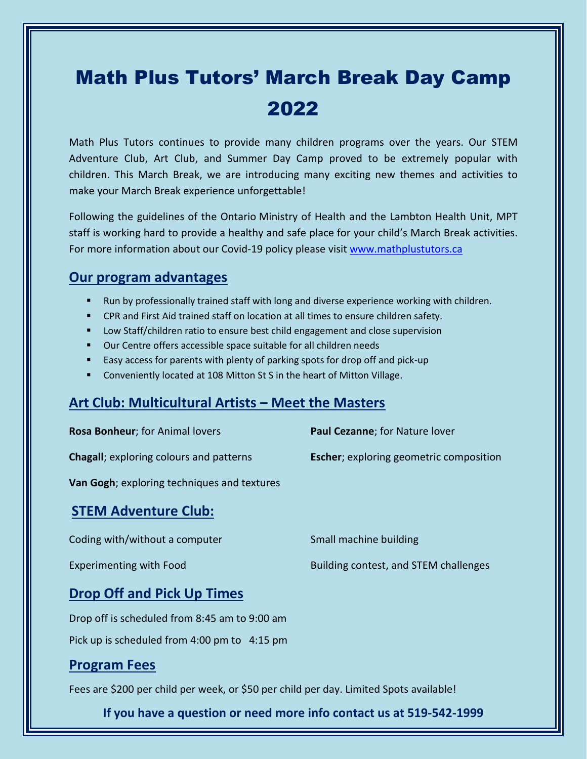## Math Plus Tutors' March Break Day Camp 2022

Math Plus Tutors continues to provide many children programs over the years. Our STEM Adventure Club, Art Club, and Summer Day Camp proved to be extremely popular with children. This March Break, we are introducing many exciting new themes and activities to make your March Break experience unforgettable!

Following the guidelines of the Ontario Ministry of Health and the Lambton Health Unit, MPT staff is working hard to provide a healthy and safe place for your child's March Break activities. For more information about our Covid-19 policy please visit [www.mathplustutors.ca](http://www.mathplustutors.ca/)

## **Our program advantages**

- Run by professionally trained staff with long and diverse experience working with children.
- **EXPLEM** 2 CPR and First Aid trained staff on location at all times to ensure children safety.
- **E** Low Staff/children ratio to ensure best child engagement and close supervision
- Our Centre offers accessible space suitable for all children needs
- Easy access for parents with plenty of parking spots for drop off and pick-up
- **Conveniently located at 108 Mitton St S in the heart of Mitton Village.**

## **Art Club: Multicultural Artists – Meet the Masters**

| Rosa Bonheur; for Animal lovers                     | Paul Cezanne; for Nature lover                  |
|-----------------------------------------------------|-------------------------------------------------|
| <b>Chagall</b> ; exploring colours and patterns     | <b>Escher</b> ; exploring geometric composition |
| <b>Van Gogh</b> ; exploring techniques and textures |                                                 |
| <b>STEM Adventure Club:</b>                         |                                                 |
| Coding with/without a computer                      | Small machine building                          |
| <b>Experimenting with Food</b>                      | Building contest, and STEM challenges           |
| <b>Drop Off and Pick Up Times</b>                   |                                                 |
| Drop off is scheduled from 8:45 am to 9:00 am       |                                                 |
| Pick up is scheduled from 4:00 pm to 4:15 pm        |                                                 |
| <b>Program Fees</b>                                 |                                                 |

Fees are \$200 per child per week, or \$50 per child per day. Limited Spots available!

**If you have a question or need more info contact us at 519-542-1999**